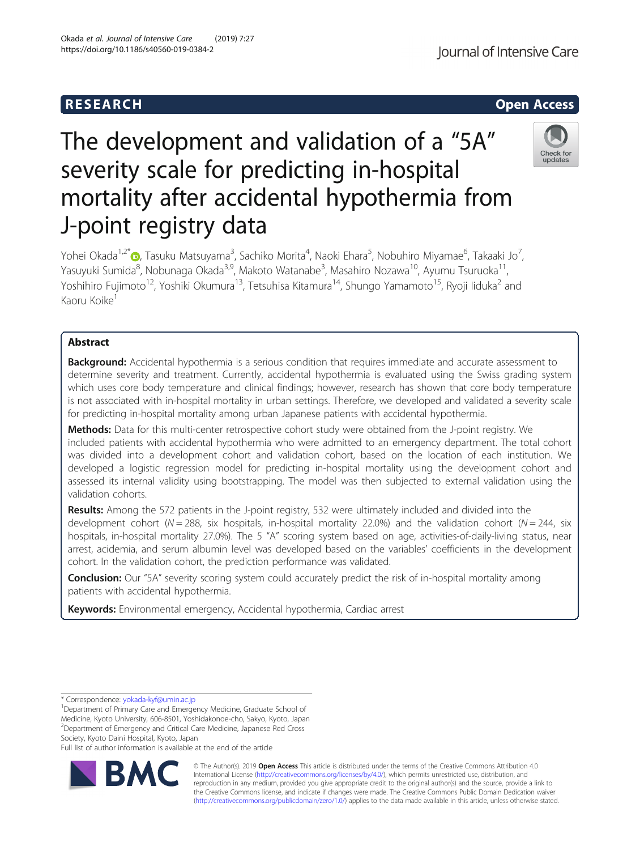

# The development and validation of a "5A" severity scale for predicting in-hospital mortality after accidental hypothermia from J-point registry data



Yohei Okada<sup>1,2[\\*](http://orcid.org/0000-0002-2266-476X)</sup>�, Tasuku Matsuyama<sup>3</sup>, Sachiko Morita<sup>4</sup>, Naoki Ehara<sup>5</sup>, Nobuhiro Miyamae<sup>6</sup>, Takaaki Jo<sup>7</sup> , Yasuyuki Sumida<sup>8</sup>, Nobunaga Okada<sup>3,9</sup>, Makoto Watanabe<sup>3</sup>, Masahiro Nozawa<sup>10</sup>, Ayumu Tsuruoka<sup>11</sup>, Yoshihiro Fujimoto<sup>12</sup>, Yoshiki Okumura<sup>13</sup>, Tetsuhisa Kitamura<sup>14</sup>, Shungo Yamamoto<sup>15</sup>, Ryoji Iiduka<sup>2</sup> and Kaoru Koike<sup>1</sup>

# Abstract

**Background:** Accidental hypothermia is a serious condition that requires immediate and accurate assessment to determine severity and treatment. Currently, accidental hypothermia is evaluated using the Swiss grading system which uses core body temperature and clinical findings; however, research has shown that core body temperature is not associated with in-hospital mortality in urban settings. Therefore, we developed and validated a severity scale for predicting in-hospital mortality among urban Japanese patients with accidental hypothermia.

Methods: Data for this multi-center retrospective cohort study were obtained from the J-point registry. We included patients with accidental hypothermia who were admitted to an emergency department. The total cohort was divided into a development cohort and validation cohort, based on the location of each institution. We developed a logistic regression model for predicting in-hospital mortality using the development cohort and assessed its internal validity using bootstrapping. The model was then subjected to external validation using the validation cohorts.

Results: Among the 572 patients in the J-point registry, 532 were ultimately included and divided into the development cohort (N = 288, six hospitals, in-hospital mortality 22.0%) and the validation cohort (N = 244, six hospitals, in-hospital mortality 27.0%). The 5 "A" scoring system based on age, activities-of-daily-living status, near arrest, acidemia, and serum albumin level was developed based on the variables' coefficients in the development cohort. In the validation cohort, the prediction performance was validated.

**Conclusion:** Our "5A" severity scoring system could accurately predict the risk of in-hospital mortality among patients with accidental hypothermia.

Keywords: Environmental emergency, Accidental hypothermia, Cardiac arrest

Full list of author information is available at the end of the article



© The Author(s). 2019 **Open Access** This article is distributed under the terms of the Creative Commons Attribution 4.0 International License [\(http://creativecommons.org/licenses/by/4.0/](http://creativecommons.org/licenses/by/4.0/)), which permits unrestricted use, distribution, and reproduction in any medium, provided you give appropriate credit to the original author(s) and the source, provide a link to the Creative Commons license, and indicate if changes were made. The Creative Commons Public Domain Dedication waiver [\(http://creativecommons.org/publicdomain/zero/1.0/](http://creativecommons.org/publicdomain/zero/1.0/)) applies to the data made available in this article, unless otherwise stated.

<sup>\*</sup> Correspondence: [yokada-kyf@umin.ac.jp](mailto:yokada-kyf@umin.ac.jp) <sup>1</sup>

<sup>&</sup>lt;sup>1</sup>Department of Primary Care and Emergency Medicine, Graduate School of Medicine, Kyoto University, 606-8501, Yoshidakonoe-cho, Sakyo, Kyoto, Japan <sup>2</sup> Department of Emergency and Critical Care Medicine, Japanese Red Cross Society, Kyoto Daini Hospital, Kyoto, Japan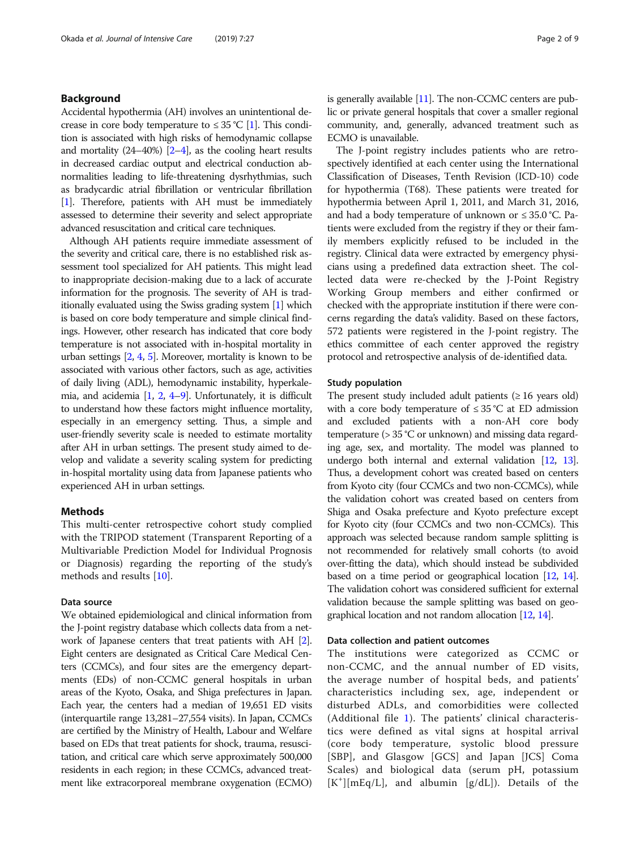# Background

Accidental hypothermia (AH) involves an unintentional decrease in core body temperature to  $\leq 35$  °C [\[1\]](#page-8-0). This condition is associated with high risks of hemodynamic collapse and mortality (24–40%) [[2](#page-8-0)–[4\]](#page-8-0), as the cooling heart results in decreased cardiac output and electrical conduction abnormalities leading to life-threatening dysrhythmias, such as bradycardic atrial fibrillation or ventricular fibrillation [[1](#page-8-0)]. Therefore, patients with AH must be immediately assessed to determine their severity and select appropriate advanced resuscitation and critical care techniques.

Although AH patients require immediate assessment of the severity and critical care, there is no established risk assessment tool specialized for AH patients. This might lead to inappropriate decision-making due to a lack of accurate information for the prognosis. The severity of AH is traditionally evaluated using the Swiss grading system [\[1](#page-8-0)] which is based on core body temperature and simple clinical findings. However, other research has indicated that core body temperature is not associated with in-hospital mortality in urban settings [\[2,](#page-8-0) [4,](#page-8-0) [5](#page-8-0)]. Moreover, mortality is known to be associated with various other factors, such as age, activities of daily living (ADL), hemodynamic instability, hyperkalemia, and acidemia  $[1, 2, 4-9]$  $[1, 2, 4-9]$  $[1, 2, 4-9]$  $[1, 2, 4-9]$  $[1, 2, 4-9]$  $[1, 2, 4-9]$  $[1, 2, 4-9]$  $[1, 2, 4-9]$ . Unfortunately, it is difficult to understand how these factors might influence mortality, especially in an emergency setting. Thus, a simple and user-friendly severity scale is needed to estimate mortality after AH in urban settings. The present study aimed to develop and validate a severity scaling system for predicting in-hospital mortality using data from Japanese patients who experienced AH in urban settings.

# Methods

This multi-center retrospective cohort study complied with the TRIPOD statement (Transparent Reporting of a Multivariable Prediction Model for Individual Prognosis or Diagnosis) regarding the reporting of the study's methods and results [[10\]](#page-8-0).

# Data source

We obtained epidemiological and clinical information from the J-point registry database which collects data from a network of Japanese centers that treat patients with AH [[2](#page-8-0)]. Eight centers are designated as Critical Care Medical Centers (CCMCs), and four sites are the emergency departments (EDs) of non-CCMC general hospitals in urban areas of the Kyoto, Osaka, and Shiga prefectures in Japan. Each year, the centers had a median of 19,651 ED visits (interquartile range 13,281–27,554 visits). In Japan, CCMCs are certified by the Ministry of Health, Labour and Welfare based on EDs that treat patients for shock, trauma, resuscitation, and critical care which serve approximately 500,000 residents in each region; in these CCMCs, advanced treatment like extracorporeal membrane oxygenation (ECMO) is generally available [[11](#page-8-0)]. The non-CCMC centers are public or private general hospitals that cover a smaller regional community, and, generally, advanced treatment such as ECMO is unavailable.

The J-point registry includes patients who are retrospectively identified at each center using the International Classification of Diseases, Tenth Revision (ICD-10) code for hypothermia (T68). These patients were treated for hypothermia between April 1, 2011, and March 31, 2016, and had a body temperature of unknown or ≤ 35.0 °C. Patients were excluded from the registry if they or their family members explicitly refused to be included in the registry. Clinical data were extracted by emergency physicians using a predefined data extraction sheet. The collected data were re-checked by the J-Point Registry Working Group members and either confirmed or checked with the appropriate institution if there were concerns regarding the data's validity. Based on these factors, 572 patients were registered in the J-point registry. The ethics committee of each center approved the registry protocol and retrospective analysis of de-identified data.

### Study population

The present study included adult patients  $(\geq 16$  years old) with a core body temperature of  $\leq$  35 °C at ED admission and excluded patients with a non-AH core body temperature (> 35 °C or unknown) and missing data regarding age, sex, and mortality. The model was planned to undergo both internal and external validation [[12](#page-8-0), [13](#page-8-0)]. Thus, a development cohort was created based on centers from Kyoto city (four CCMCs and two non-CCMCs), while the validation cohort was created based on centers from Shiga and Osaka prefecture and Kyoto prefecture except for Kyoto city (four CCMCs and two non-CCMCs). This approach was selected because random sample splitting is not recommended for relatively small cohorts (to avoid over-fitting the data), which should instead be subdivided based on a time period or geographical location [\[12,](#page-8-0) [14](#page-8-0)]. The validation cohort was considered sufficient for external validation because the sample splitting was based on geographical location and not random allocation [[12,](#page-8-0) [14](#page-8-0)].

### Data collection and patient outcomes

The institutions were categorized as CCMC or non-CCMC, and the annual number of ED visits, the average number of hospital beds, and patients' characteristics including sex, age, independent or disturbed ADLs, and comorbidities were collected (Additional file [1](#page-7-0)). The patients' clinical characteristics were defined as vital signs at hospital arrival (core body temperature, systolic blood pressure [SBP], and Glasgow [GCS] and Japan [JCS] Coma Scales) and biological data (serum pH, potassium [K<sup>+</sup> ][mEq/L], and albumin [g/dL]). Details of the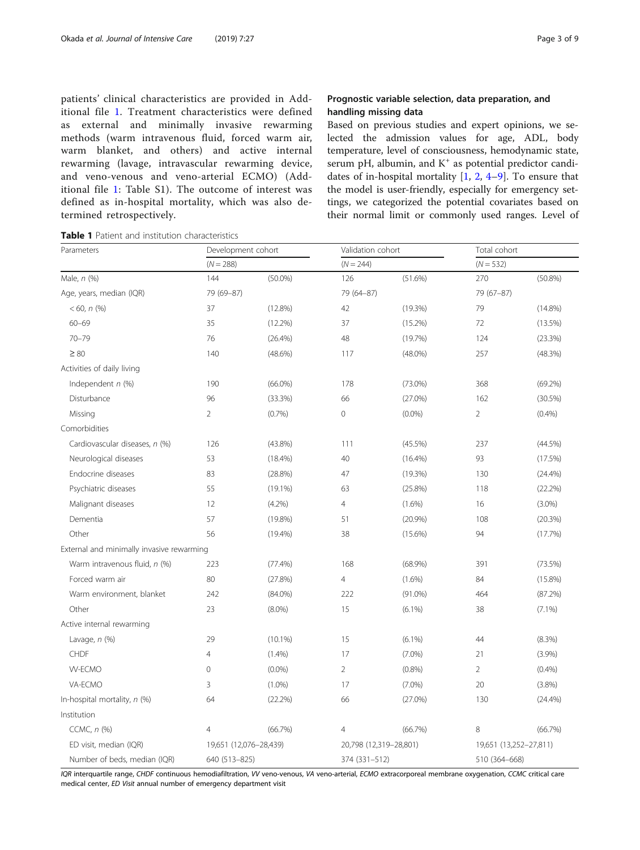<span id="page-2-0"></span>

| patients' clinical characteristics are provided in Add- |
|---------------------------------------------------------|
| itional file 1. Treatment characteristics were defined  |
| as external and minimally invasive rewarming            |
| methods (warm intravenous fluid, forced warm air,       |
| warm blanket, and others) and active internal           |
| rewarming (lavage, intravascular rewarming device,      |
| and veno-venous and veno-arterial ECMO) (Add-           |
| itional file 1: Table S1). The outcome of interest was  |
| defined as in-hospital mortality, which was also de-    |
| termined retrospectively.                               |

# Prognostic variable selection, data preparation, and handling missing data

Based on previous studies and expert opinions, we selected the admission values for age, ADL, body temperature, level of consciousness, hemodynamic state, serum pH, albumin, and  $K^+$  as potential predictor candidates of in-hospital mortality [\[1](#page-8-0), [2,](#page-8-0) [4](#page-8-0)–[9](#page-8-0)]. To ensure that the model is user-friendly, especially for emergency settings, we categorized the potential covariates based on their normal limit or commonly used ranges. Level of

Table 1 Patient and institution characteristics

| Parameters                                | Development cohort<br>$(N = 288)$ |                        | Validation cohort |                        | Total cohort   |                        |  |
|-------------------------------------------|-----------------------------------|------------------------|-------------------|------------------------|----------------|------------------------|--|
|                                           |                                   |                        | $(N = 244)$       |                        | $(N = 532)$    |                        |  |
| Male, n (%)                               | 144                               | $(50.0\%)$             | 126               | $(51.6\%)$             | 270            | $(50.8\%)$             |  |
| Age, years, median (IQR)                  | 79 (69-87)                        |                        | 79 (64-87)        |                        | 79 (67-87)     |                        |  |
| $< 60, n$ (%)                             | 37                                | $(12.8\%)$             | 42                | (19.3%)                | 79             | $(14.8\%)$             |  |
| $60 - 69$                                 | 35                                | $(12.2\%)$             | 37                | $(15.2\%)$             | 72             | $(13.5\%)$             |  |
| $70 - 79$                                 | 76                                | (26.4%)                | 48                | (19.7%)                | 124            | (23.3%)                |  |
| $\geq 80$                                 | 140                               | $(48.6\%)$             | 117               | $(48.0\%)$             | 257            | (48.3%)                |  |
| Activities of daily living                |                                   |                        |                   |                        |                |                        |  |
| Independent $n$ (%)                       | 190                               | $(66.0\%)$<br>178      |                   | $(73.0\%)$             | 368            | (69.2%)                |  |
| Disturbance                               | 96                                | (33.3%)                | 66                | $(27.0\%)$             | 162            | (30.5%)                |  |
| Missing                                   | $\overline{2}$                    | (0.7%)                 | $\mathbf 0$       | $(0.0\%)$              | 2              | (0.4% )                |  |
| Comorbidities                             |                                   |                        |                   |                        |                |                        |  |
| Cardiovascular diseases, n (%)            | 126                               | $(43.8\%)$             | 111               | $(45.5\%)$             | 237            | (44.5%)                |  |
| Neurological diseases                     | 53                                | $(18.4\%)$             | 40                | $(16.4\%)$             | 93             | (17.5%)                |  |
| Endocrine diseases                        | 83                                | (28.8%)                | 47                | (19.3%)                | 130            | (24.4%)                |  |
| Psychiatric diseases                      | 55                                | $(19.1\%)$             | 63                | (25.8%)                | 118            | (22.2%)                |  |
| Malignant diseases                        | 12                                | (4.2%)                 | $\overline{4}$    | $(1.6\%)$              | 16             | $(3.0\%)$              |  |
| Dementia                                  | 57                                | $(19.8\%)$             | 51                | (20.9%)                | 108            | (20.3%)                |  |
| Other                                     | 56                                | $(19.4\%)$             | 38                | $(15.6\%)$             | 94             | (17.7%)                |  |
| External and minimally invasive rewarming |                                   |                        |                   |                        |                |                        |  |
| Warm intravenous fluid, n (%)             | 223                               | (77.4%)                | 168               | $(68.9\%)$             | 391            | (73.5%)                |  |
| Forced warm air                           | 80                                | (27.8%)                | 4                 | $(1.6\%)$              | 84             | $(15.8\%)$             |  |
| Warm environment, blanket                 | 242                               |                        | 222               | $(91.0\%)$             | 464            | (87.2%)                |  |
| Other                                     | 23                                | $(8.0\%)$              | 15                | $(6.1\%)$              | 38             | $(7.1\%)$              |  |
| Active internal rewarming                 |                                   |                        |                   |                        |                |                        |  |
| Lavage, $n$ (%)                           | 29                                | $(10.1\%)$             | 15                | $(6.1\%)$              | 44             | (8.3%)                 |  |
| <b>CHDF</b>                               | $\overline{4}$                    | (1.4%)                 | 17<br>$(7.0\%)$   |                        | 21             | (3.9%)                 |  |
| <b>W-ECMO</b>                             | $\overline{0}$                    | $(0.0\%)$              | $\overline{2}$    | (0.8% )                | $\overline{2}$ | (0.4% )                |  |
| VA-ECMO                                   | 3                                 | $(1.0\%)$              | 17                | $(7.0\%)$              | 20             | (3.8%)                 |  |
| In-hospital mortality, n (%)              | 64                                | (22.2%)                | 66                | $(27.0\%)$             | 130            | (24.4%)                |  |
| Institution                               |                                   |                        |                   |                        |                |                        |  |
| CCMC, n (%)                               | $\overline{4}$                    | (66.7%)                | 4                 | (66.7%)                | 8              | (66.7%)                |  |
| ED visit, median (IQR)                    |                                   | 19,651 (12,076-28,439) |                   | 20,798 (12,319-28,801) |                | 19,651 (13,252-27,811) |  |
| Number of beds, median (IQR)              |                                   | 640 (513-825)          |                   | 374 (331-512)          | 510 (364-668)  |                        |  |

IQR interquartile range, CHDF continuous hemodiafiltration, VV veno-venous, VA veno-arterial, ECMO extracorporeal membrane oxygenation, CCMC critical care medical center, ED Visit annual number of emergency department visit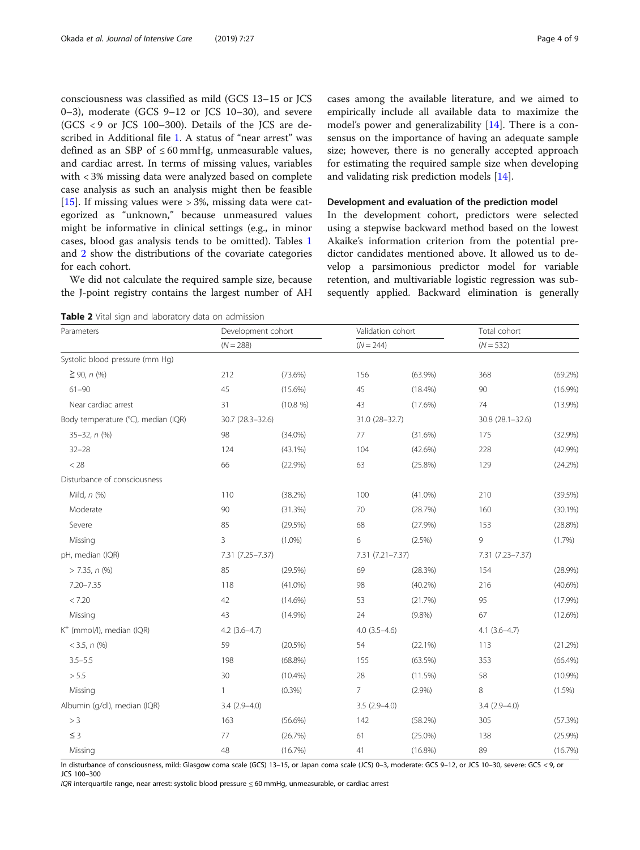<span id="page-3-0"></span>consciousness was classified as mild (GCS 13–15 or JCS 0–3), moderate (GCS  $9-12$  or JCS  $10-30$ ), and severe (GCS < 9 or JCS 100–300). Details of the JCS are described in Additional file [1](#page-7-0). A status of "near arrest" was defined as an SBP of  $\leq 60$  mmHg, unmeasurable values, and cardiac arrest. In terms of missing values, variables with < 3% missing data were analyzed based on complete case analysis as such an analysis might then be feasible [[15\]](#page-8-0). If missing values were  $> 3\%$ , missing data were categorized as "unknown," because unmeasured values might be informative in clinical settings (e.g., in minor cases, blood gas analysis tends to be omitted). Tables [1](#page-2-0) and 2 show the distributions of the covariate categories for each cohort.

We did not calculate the required sample size, because the J-point registry contains the largest number of AH

Table 2 Vital sign and laboratory data on admission

cases among the available literature, and we aimed to empirically include all available data to maximize the model's power and generalizability [[14\]](#page-8-0). There is a consensus on the importance of having an adequate sample size; however, there is no generally accepted approach for estimating the required sample size when developing and validating risk prediction models [[14\]](#page-8-0).

#### Development and evaluation of the prediction model

In the development cohort, predictors were selected using a stepwise backward method based on the lowest Akaike's information criterion from the potential predictor candidates mentioned above. It allowed us to develop a parsimonious predictor model for variable retention, and multivariable logistic regression was subsequently applied. Backward elimination is generally

| Parameters                            | Development cohort<br>$(N = 288)$ |            | Validation cohort |                | Total cohort      |                  |  |  |  |
|---------------------------------------|-----------------------------------|------------|-------------------|----------------|-------------------|------------------|--|--|--|
|                                       |                                   |            | $(N = 244)$       |                |                   | $(N = 532)$      |  |  |  |
| Systolic blood pressure (mm Hg)       |                                   |            |                   |                |                   |                  |  |  |  |
| $≥$ 90, <i>n</i> (%)                  | 212                               | $(73.6\%)$ | 156               | $(63.9\%)$     | 368               | (69.2%)          |  |  |  |
| $61 - 90$                             | 45                                | $(15.6\%)$ | 45                | $(18.4\%)$     | 90                | $(16.9\%)$       |  |  |  |
| Near cardiac arrest                   | 31                                | (10.8 %)   | 43                | $(17.6\%)$     | 74                | $(13.9\%)$       |  |  |  |
| Body temperature (°C), median (IQR)   | 30.7 (28.3-32.6)                  |            |                   | 31.0 (28-32.7) |                   | 30.8 (28.1-32.6) |  |  |  |
| 35-32, n (%)                          | 98                                | $(34.0\%)$ | 77                | (31.6%)        | 175               | (32.9%)          |  |  |  |
| $32 - 28$                             | 124                               | $(43.1\%)$ | 104               | $(42.6\%)$     | 228               | (42.9%)          |  |  |  |
| $<$ 28                                | 66                                | (22.9%)    | 63                | $(25.8\%)$     | 129               | (24.2%)          |  |  |  |
| Disturbance of consciousness          |                                   |            |                   |                |                   |                  |  |  |  |
| Mild, $n$ $(\%)$                      | 110                               | (38.2%)    | 100               | $(41.0\%)$     | 210               | (39.5%)          |  |  |  |
| Moderate                              | 90                                | (31.3%)    | 70                | (28.7%)        | 160               | $(30.1\%)$       |  |  |  |
| Severe                                | 85                                | (29.5%)    | 68                | (27.9%)        | 153               | (28.8%)          |  |  |  |
| Missing                               | 3                                 | $(1.0\%)$  | 6                 | (2.5%)         | 9                 | (1.7%)           |  |  |  |
| pH, median (IQR)                      | 7.31 (7.25-7.37)                  |            | 7.31 (7.21-7.37)  |                | 7.31 (7.23-7.37)  |                  |  |  |  |
| $> 7.35, n$ (%)                       | 85                                | (29.5%)    | 69                | (28.3%)        | 154               | $(28.9\%)$       |  |  |  |
| 7.20-7.35                             | 118                               | $(41.0\%)$ | 98                | $(40.2\%)$     | 216               | $(40.6\%)$       |  |  |  |
| < 7.20                                | 42                                | $(14.6\%)$ | 53                | (21.7%)        | 95                | (17.9%)          |  |  |  |
| Missing                               | 43                                | $(14.9\%)$ | 24                | $(9.8\%)$      | 67                | $(12.6\%)$       |  |  |  |
| K <sup>+</sup> (mmol/l), median (IQR) | $4.2$ (3.6-4.7)                   |            | $4.0(3.5-4.6)$    |                | $4.1 (3.6 - 4.7)$ |                  |  |  |  |
| $<$ 3.5, $n$ (%)                      | 59                                | $(20.5\%)$ | 54                | (22.1%)        | 113               | (21.2%)          |  |  |  |
| $3.5 - 5.5$                           | 198                               | $(68.8\%)$ | 155               | $(63.5\%)$     | 353               | $(66.4\%)$       |  |  |  |
| > 5.5                                 | 30                                | $(10.4\%)$ | 28                | (11.5%)        | 58                | (10.9%)          |  |  |  |
| Missing                               | 1                                 | $(0.3\%)$  | $\overline{7}$    | (2.9%)         | 8                 | $(1.5\%)$        |  |  |  |
| Albumin (g/dl), median (IQR)          | $3.4(2.9 - 4.0)$                  |            | $3.5(2.9 - 4.0)$  |                | $3.4(2.9 - 4.0)$  |                  |  |  |  |
| > 3                                   | 163                               | $(56.6\%)$ | 142               | (58.2%)        | 305               | (57.3%)          |  |  |  |
| $\leq 3$                              | 77                                | (26.7%)    | 61                | $(25.0\%)$     | 138               | (25.9%)          |  |  |  |
| Missing                               | 48                                | (16.7%)    | 41                | $(16.8\%)$     | 89                | (16.7%)          |  |  |  |

In disturbance of consciousness, mild: Glasgow coma scale (GCS) 13–15, or Japan coma scale (JCS) 0–3, moderate: GCS 9–12, or JCS 10–30, severe: GCS < 9, or JCS 100–300

IQR interquartile range, near arrest: systolic blood pressure ≤ 60 mmHg, unmeasurable, or cardiac arrest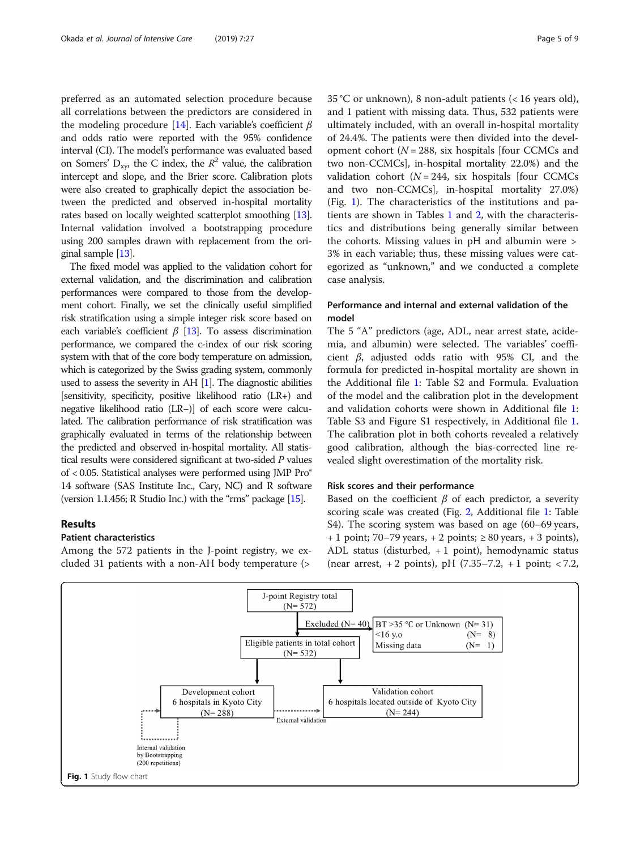preferred as an automated selection procedure because all correlations between the predictors are considered in the modeling procedure [\[14\]](#page-8-0). Each variable's coefficient  $\beta$ and odds ratio were reported with the 95% confidence interval (CI). The model's performance was evaluated based on Somers'  $D_{xy}$ , the C index, the  $R^2$  value, the calibration intercept and slope, and the Brier score. Calibration plots were also created to graphically depict the association between the predicted and observed in-hospital mortality rates based on locally weighted scatterplot smoothing [\[13](#page-8-0)]. Internal validation involved a bootstrapping procedure using 200 samples drawn with replacement from the original sample [\[13](#page-8-0)].

The fixed model was applied to the validation cohort for external validation, and the discrimination and calibration performances were compared to those from the development cohort. Finally, we set the clinically useful simplified risk stratification using a simple integer risk score based on each variable's coefficient  $\beta$  [[13\]](#page-8-0). To assess discrimination performance, we compared the c-index of our risk scoring system with that of the core body temperature on admission, which is categorized by the Swiss grading system, commonly used to assess the severity in AH [\[1](#page-8-0)]. The diagnostic abilities [sensitivity, specificity, positive likelihood ratio (LR+) and negative likelihood ratio (LR−)] of each score were calculated. The calibration performance of risk stratification was graphically evaluated in terms of the relationship between the predicted and observed in-hospital mortality. All statistical results were considered significant at two-sided P values of < 0.05. Statistical analyses were performed using JMP Pro® 14 software (SAS Institute Inc., Cary, NC) and R software (version 1.1.456; R Studio Inc.) with the "rms" package [\[15\]](#page-8-0).

# Results

# Patient characteristics

Among the 572 patients in the J-point registry, we excluded 31 patients with a non-AH body temperature (>

35 °C or unknown), 8 non-adult patients (< 16 years old), and 1 patient with missing data. Thus, 532 patients were ultimately included, with an overall in-hospital mortality of 24.4%. The patients were then divided into the development cohort ( $N = 288$ , six hospitals [four CCMCs and two non-CCMCs], in-hospital mortality 22.0%) and the validation cohort ( $N = 244$ , six hospitals [four CCMCs and two non-CCMCs], in-hospital mortality 27.0%) (Fig. 1). The characteristics of the institutions and patients are shown in Tables [1](#page-2-0) and [2,](#page-3-0) with the characteristics and distributions being generally similar between the cohorts. Missing values in pH and albumin were > 3% in each variable; thus, these missing values were categorized as "unknown," and we conducted a complete case analysis.

# Performance and internal and external validation of the model

The 5 "A" predictors (age, ADL, near arrest state, acidemia, and albumin) were selected. The variables' coefficient  $β$ , adjusted odds ratio with 95% CI, and the formula for predicted in-hospital mortality are shown in the Additional file [1](#page-7-0): Table S2 and Formula. Evaluation of the model and the calibration plot in the development and validation cohorts were shown in Additional file [1](#page-7-0): Table S3 and Figure S1 respectively, in Additional file [1](#page-7-0). The calibration plot in both cohorts revealed a relatively good calibration, although the bias-corrected line revealed slight overestimation of the mortality risk.

# Risk scores and their performance

Based on the coefficient  $\beta$  of each predictor, a severity scoring scale was created (Fig. [2](#page-5-0), Additional file [1:](#page-7-0) Table S4). The scoring system was based on age (60–69 years,  $+ 1$  point; 70–79 years,  $+ 2$  points;  $\geq 80$  years,  $+ 3$  points), ADL status (disturbed, + 1 point), hemodynamic status (near arrest,  $+2$  points), pH (7.35–7.2,  $+1$  point;  $< 7.2$ ,

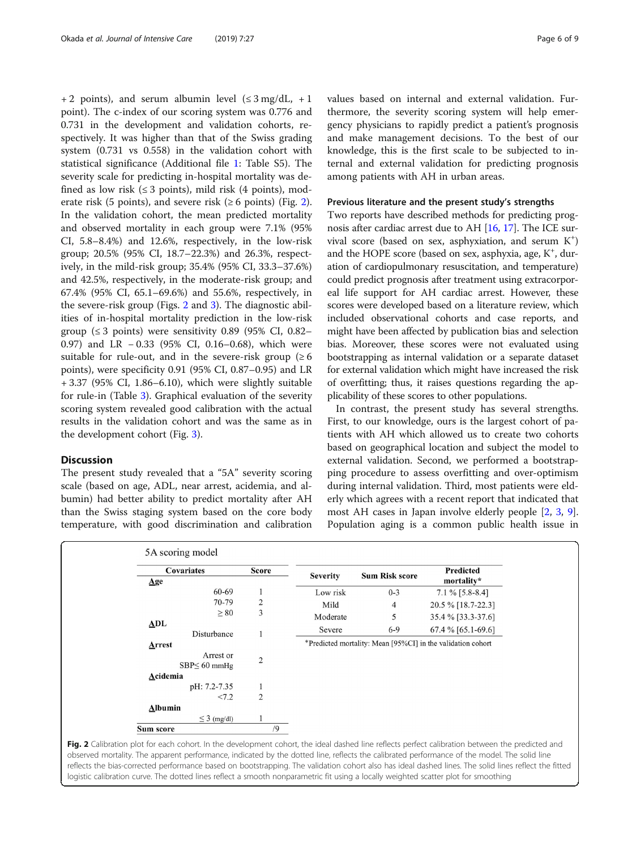<span id="page-5-0"></span>+ 2 points), and serum albumin level  $(\leq 3 \text{ mg/dL}, +1)$ point). The c-index of our scoring system was 0.776 and 0.731 in the development and validation cohorts, respectively. It was higher than that of the Swiss grading system (0.731 vs 0.558) in the validation cohort with statistical significance (Additional file [1](#page-7-0): Table S5). The severity scale for predicting in-hospital mortality was defined as low risk ( $\leq$  3 points), mild risk (4 points), moderate risk (5 points), and severe risk ( $\geq 6$  points) (Fig. 2). In the validation cohort, the mean predicted mortality and observed mortality in each group were 7.1% (95% CI, 5.8–8.4%) and 12.6%, respectively, in the low-risk group; 20.5% (95% CI, 18.7–22.3%) and 26.3%, respectively, in the mild-risk group; 35.4% (95% CI, 33.3–37.6%) and 42.5%, respectively, in the moderate-risk group; and 67.4% (95% CI, 65.1–69.6%) and 55.6%, respectively, in the severe-risk group (Figs. 2 and [3\)](#page-6-0). The diagnostic abilities of in-hospital mortality prediction in the low-risk group ( $\leq$  3 points) were sensitivity 0.89 (95% CI, 0.82– 0.97) and LR − 0.33 (95% CI, 0.16–0.68), which were suitable for rule-out, and in the severe-risk group  $(≥ 6$ points), were specificity 0.91 (95% CI, 0.87–0.95) and LR + 3.37 (95% CI, 1.86–6.10), which were slightly suitable for rule-in (Table [3\)](#page-6-0). Graphical evaluation of the severity scoring system revealed good calibration with the actual results in the validation cohort and was the same as in the development cohort (Fig. [3](#page-6-0)).

# **Discussion**

The present study revealed that a "5A" severity scoring scale (based on age, ADL, near arrest, acidemia, and albumin) had better ability to predict mortality after AH than the Swiss staging system based on the core body temperature, with good discrimination and calibration values based on internal and external validation. Furthermore, the severity scoring system will help emergency physicians to rapidly predict a patient's prognosis and make management decisions. To the best of our knowledge, this is the first scale to be subjected to internal and external validation for predicting prognosis among patients with AH in urban areas.

#### Previous literature and the present study's strengths

Two reports have described methods for predicting prognosis after cardiac arrest due to AH [[16,](#page-8-0) [17](#page-8-0)]. The ICE survival score (based on sex, asphyxiation, and serum K<sup>+</sup>) and the HOPE score (based on sex, asphyxia, age, K<sup>+</sup>, duration of cardiopulmonary resuscitation, and temperature) could predict prognosis after treatment using extracorporeal life support for AH cardiac arrest. However, these scores were developed based on a literature review, which included observational cohorts and case reports, and might have been affected by publication bias and selection bias. Moreover, these scores were not evaluated using bootstrapping as internal validation or a separate dataset for external validation which might have increased the risk of overfitting; thus, it raises questions regarding the applicability of these scores to other populations.

In contrast, the present study has several strengths. First, to our knowledge, ours is the largest cohort of patients with AH which allowed us to create two cohorts based on geographical location and subject the model to external validation. Second, we performed a bootstrapping procedure to assess overfitting and over-optimism during internal validation. Third, most patients were elderly which agrees with a recent report that indicated that most AH cases in Japan involve elderly people [[2,](#page-8-0) [3](#page-8-0), [9](#page-8-0)]. Population aging is a common public health issue in

| Covariates           | <b>Score</b>   |                 |                       | Predicted                                                   |
|----------------------|----------------|-----------------|-----------------------|-------------------------------------------------------------|
| $\mathbf{\Delta}$ ge |                | <b>Severity</b> | <b>Sum Risk score</b> | mortality*                                                  |
| 60-69                | 1              | Low risk        | $0 - 3$               | $7.1\%$ [5.8-8.4]                                           |
| 70-79                | $\overline{c}$ | Mild            | 4                     | 20.5 % [18.7-22.3]                                          |
| $\geq 80$            | 3              | Moderate        | 5                     | 35.4 % [33.3-37.6]                                          |
| ADL<br>Disturbance   |                | Severe          | $6-9$                 | $67.4\%$ [65.1-69.6]                                        |
| <b>Arrest</b>        |                |                 |                       | *Predicted mortality: Mean [95%CI] in the validation cohort |
| Arrest or            | $\sqrt{2}$     |                 |                       |                                                             |
| $SBP \leq 60$ mmHg   |                |                 |                       |                                                             |
| Acidemia             |                |                 |                       |                                                             |
| pH: 7.2-7.35         | 1              |                 |                       |                                                             |
| < 7.2                | $\overline{2}$ |                 |                       |                                                             |
| <b>Albumin</b>       |                |                 |                       |                                                             |
| $\leq$ 3 (mg/dl)     |                |                 |                       |                                                             |

Fig. 2 Calibration plot for each cohort. In the development cohort, the ideal dashed line reflects perfect calibration between the predicted and observed mortality. The apparent performance, indicated by the dotted line, reflects the calibrated performance of the model. The solid line reflects the bias-corrected performance based on bootstrapping. The validation cohort also has ideal dashed lines. The solid lines reflect the fitted logistic calibration curve. The dotted lines reflect a smooth nonparametric fit using a locally weighted scatter plot for smoothing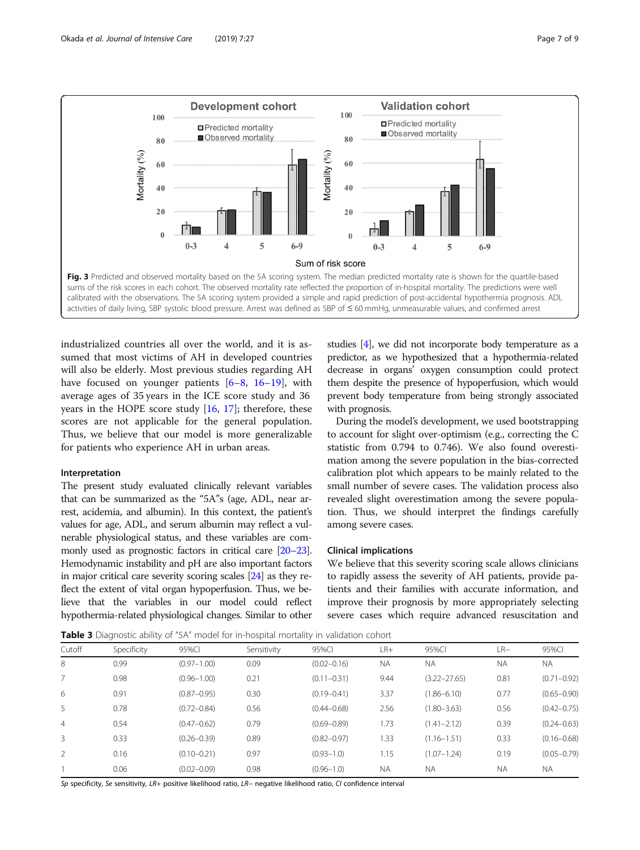<span id="page-6-0"></span>

industrialized countries all over the world, and it is assumed that most victims of AH in developed countries will also be elderly. Most previous studies regarding AH have focused on younger patients [[6](#page-8-0)–[8,](#page-8-0) [16](#page-8-0)–[19\]](#page-8-0), with average ages of 35 years in the ICE score study and 36 years in the HOPE score study  $[16, 17]$  $[16, 17]$  $[16, 17]$ ; therefore, these scores are not applicable for the general population. Thus, we believe that our model is more generalizable for patients who experience AH in urban areas.

#### Interpretation

The present study evaluated clinically relevant variables that can be summarized as the "5A"s (age, ADL, near arrest, acidemia, and albumin). In this context, the patient's values for age, ADL, and serum albumin may reflect a vulnerable physiological status, and these variables are commonly used as prognostic factors in critical care [[20](#page-8-0)–[23](#page-8-0)]. Hemodynamic instability and pH are also important factors in major critical care severity scoring scales [\[24\]](#page-8-0) as they reflect the extent of vital organ hypoperfusion. Thus, we believe that the variables in our model could reflect hypothermia-related physiological changes. Similar to other

studies [\[4](#page-8-0)], we did not incorporate body temperature as a predictor, as we hypothesized that a hypothermia-related decrease in organs' oxygen consumption could protect them despite the presence of hypoperfusion, which would prevent body temperature from being strongly associated with prognosis.

During the model's development, we used bootstrapping to account for slight over-optimism (e.g., correcting the C statistic from 0.794 to 0.746). We also found overestimation among the severe population in the bias-corrected calibration plot which appears to be mainly related to the small number of severe cases. The validation process also revealed slight overestimation among the severe population. Thus, we should interpret the findings carefully among severe cases.

# Clinical implications

We believe that this severity scoring scale allows clinicians to rapidly assess the severity of AH patients, provide patients and their families with accurate information, and improve their prognosis by more appropriately selecting severe cases which require advanced resuscitation and

Table 3 Diagnostic ability of "5A" model for in-hospital mortality in validation cohort

| Cutoff         | Specificity | 95%CI           | Sensitivity | 95%CI           | $LR+$     | 95%CI            | $LR-$     | 95%CI           |
|----------------|-------------|-----------------|-------------|-----------------|-----------|------------------|-----------|-----------------|
| 8              | 0.99        | $(0.97 - 1.00)$ | 0.09        | $(0.02 - 0.16)$ | <b>NA</b> | <b>NA</b>        | <b>NA</b> | <b>NA</b>       |
|                | 0.98        | $(0.96 - 1.00)$ | 0.21        | $(0.11 - 0.31)$ | 9.44      | $(3.22 - 27.65)$ | 0.81      | $(0.71 - 0.92)$ |
| 6              | 0.91        | $(0.87 - 0.95)$ | 0.30        | $(0.19 - 0.41)$ | 3.37      | $(1.86 - 6.10)$  | 0.77      | $(0.65 - 0.90)$ |
| 5              | 0.78        | $(0.72 - 0.84)$ | 0.56        | $(0.44 - 0.68)$ | 2.56      | $(1.80 - 3.63)$  | 0.56      | $(0.42 - 0.75)$ |
| $\overline{4}$ | 0.54        | $(0.47 - 0.62)$ | 0.79        | $(0.69 - 0.89)$ | 1.73      | $(1.41 - 2.12)$  | 0.39      | $(0.24 - 0.63)$ |
| 3              | 0.33        | $(0.26 - 0.39)$ | 0.89        | $(0.82 - 0.97)$ | 1.33      | $(1.16 - 1.51)$  | 0.33      | $(0.16 - 0.68)$ |
|                | 0.16        | $(0.10 - 0.21)$ | 0.97        | $(0.93 - 1.0)$  | 1.15      | $(1.07 - 1.24)$  | 0.19      | $(0.05 - 0.79)$ |
|                | 0.06        | $(0.02 - 0.09)$ | 0.98        | $(0.96 - 1.0)$  | <b>NA</b> | <b>NA</b>        | <b>NA</b> | ΝA              |
|                |             |                 |             |                 |           |                  |           |                 |

Sp specificity, Se sensitivity, LR+ positive likelihood ratio, LR− negative likelihood ratio, CI confidence interval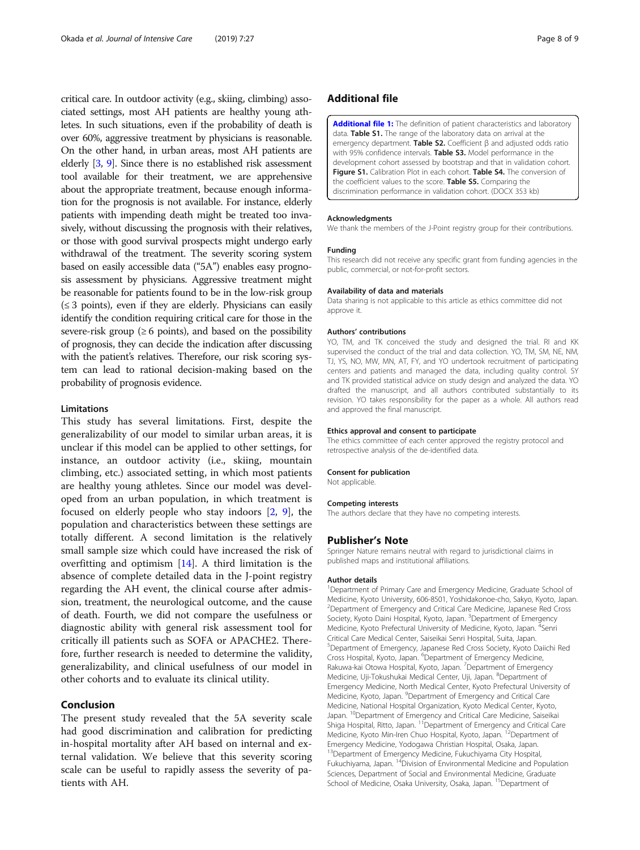<span id="page-7-0"></span>critical care. In outdoor activity (e.g., skiing, climbing) associated settings, most AH patients are healthy young athletes. In such situations, even if the probability of death is over 60%, aggressive treatment by physicians is reasonable. On the other hand, in urban areas, most AH patients are elderly [\[3,](#page-8-0) [9\]](#page-8-0). Since there is no established risk assessment tool available for their treatment, we are apprehensive about the appropriate treatment, because enough information for the prognosis is not available. For instance, elderly patients with impending death might be treated too invasively, without discussing the prognosis with their relatives, or those with good survival prospects might undergo early withdrawal of the treatment. The severity scoring system based on easily accessible data ("5A") enables easy prognosis assessment by physicians. Aggressive treatment might be reasonable for patients found to be in the low-risk group  $(\leq 3$  points), even if they are elderly. Physicians can easily identify the condition requiring critical care for those in the severe-risk group ( $\geq 6$  points), and based on the possibility of prognosis, they can decide the indication after discussing with the patient's relatives. Therefore, our risk scoring system can lead to rational decision-making based on the probability of prognosis evidence.

### Limitations

This study has several limitations. First, despite the generalizability of our model to similar urban areas, it is unclear if this model can be applied to other settings, for instance, an outdoor activity (i.e., skiing, mountain climbing, etc.) associated setting, in which most patients are healthy young athletes. Since our model was developed from an urban population, in which treatment is focused on elderly people who stay indoors [\[2](#page-8-0), [9\]](#page-8-0), the population and characteristics between these settings are totally different. A second limitation is the relatively small sample size which could have increased the risk of overfitting and optimism [\[14](#page-8-0)]. A third limitation is the absence of complete detailed data in the J-point registry regarding the AH event, the clinical course after admission, treatment, the neurological outcome, and the cause of death. Fourth, we did not compare the usefulness or diagnostic ability with general risk assessment tool for critically ill patients such as SOFA or APACHE2. Therefore, further research is needed to determine the validity, generalizability, and clinical usefulness of our model in other cohorts and to evaluate its clinical utility.

# Conclusion

The present study revealed that the 5A severity scale had good discrimination and calibration for predicting in-hospital mortality after AH based on internal and external validation. We believe that this severity scoring scale can be useful to rapidly assess the severity of patients with AH.

# Additional file

[Additional file 1:](https://doi.org/10.1186/s40560-019-0384-2) The definition of patient characteristics and laboratory data. Table S1. The range of the laboratory data on arrival at the emergency department. Table S2. Coefficient  $\beta$  and adjusted odds ratio with 95% confidence intervals. Table S3. Model performance in the development cohort assessed by bootstrap and that in validation cohort. Figure S1. Calibration Plot in each cohort. Table S4. The conversion of the coefficient values to the score. **Table S5.** Comparing the discrimination performance in validation cohort. (DOCX 353 kb)

#### Acknowledgments

We thank the members of the J-Point registry group for their contributions.

#### Funding

This research did not receive any specific grant from funding agencies in the public, commercial, or not-for-profit sectors.

#### Availability of data and materials

Data sharing is not applicable to this article as ethics committee did not approve it.

#### Authors' contributions

YO, TM, and TK conceived the study and designed the trial. RI and KK supervised the conduct of the trial and data collection. YO, TM, SM, NE, NM, TJ, YS, NO, MW, MN, AT, FY, and YO undertook recruitment of participating centers and patients and managed the data, including quality control. SY and TK provided statistical advice on study design and analyzed the data. YO drafted the manuscript, and all authors contributed substantially to its revision. YO takes responsibility for the paper as a whole. All authors read and approved the final manuscript.

#### Ethics approval and consent to participate

The ethics committee of each center approved the registry protocol and retrospective analysis of the de-identified data.

#### Consent for publication

Not applicable.

#### Competing interests

The authors declare that they have no competing interests.

#### Publisher's Note

Springer Nature remains neutral with regard to jurisdictional claims in published maps and institutional affiliations.

#### Author details

<sup>1</sup>Department of Primary Care and Emergency Medicine, Graduate School of Medicine, Kyoto University, 606-8501, Yoshidakonoe-cho, Sakyo, Kyoto, Japan. <sup>2</sup> Department of Emergency and Critical Care Medicine, Japanese Red Cross Society, Kyoto Daini Hospital, Kyoto, Japan. <sup>3</sup>Department of Emergency Medicine, Kyoto Prefectural University of Medicine, Kyoto, Japan. <sup>4</sup>Senri Critical Care Medical Center, Saiseikai Senri Hospital, Suita, Japan. 5 Department of Emergency, Japanese Red Cross Society, Kyoto Daiichi Red Cross Hospital, Kyoto, Japan. <sup>6</sup> Department of Emergency Medicine, Rakuwa-kai Otowa Hospital, Kyoto, Japan. <sup>7</sup>Department of Emergency Medicine, Uji-Tokushukai Medical Center, Uji, Japan. <sup>8</sup>Department of Emergency Medicine, North Medical Center, Kyoto Prefectural University of Medicine, Kyoto, Japan. <sup>9</sup>Department of Emergency and Critical Care Medicine, National Hospital Organization, Kyoto Medical Center, Kyoto, Japan. <sup>10</sup>Department of Emergency and Critical Care Medicine, Saiseikai Shiga Hospital, Ritto, Japan. <sup>11</sup> Department of Emergency and Critical Care Medicine, Kyoto Min-Iren Chuo Hospital, Kyoto, Japan. <sup>12</sup>Department of Emergency Medicine, Yodogawa Christian Hospital, Osaka, Japan. <sup>13</sup>Department of Emergency Medicine, Fukuchiyama City Hospital, Fukuchiyama, Japan. 14Division of Environmental Medicine and Population Sciences, Department of Social and Environmental Medicine, Graduate School of Medicine, Osaka University, Osaka, Japan. <sup>15</sup>Department of